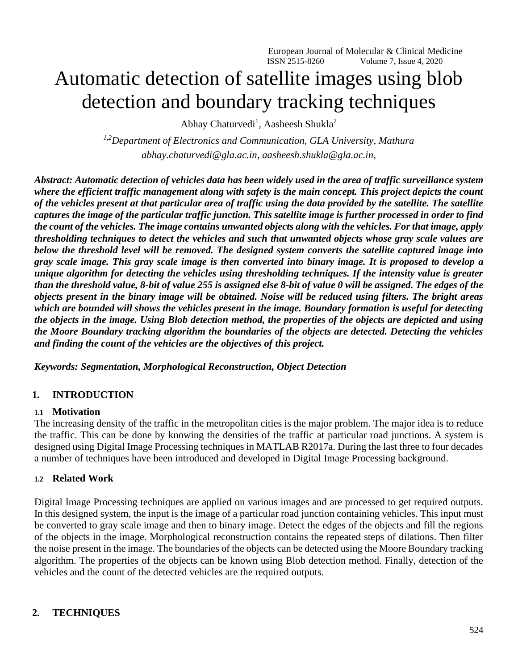European Journal of Molecular & Clinical Medicine ISSN 2515-8260 Volume 7, Issue 4, 2020

# Automatic detection of satellite images using blob detection and boundary tracking techniques

Abhay Chaturvedi<sup>1</sup>, Aasheesh Shukla<sup>2</sup>

*1,2Department of Electronics and Communication, GLA University, Mathura [abhay.chaturvedi@gla.ac.in,](mailto:abhay.chaturvedi@gla.ac.in) [aasheesh.shukla@gla.ac.in,](mailto:aasheesh.shukla@gla.ac.in)* 

*Abstract: Automatic detection of vehicles data has been widely used in the area of traffic surveillance system where the efficient traffic management along with safety is the main concept. This project depicts the count of the vehicles present at that particular area of traffic using the data provided by the satellite. The satellite captures the image of the particular traffic junction. This satellite image is further processed in order to find the count of the vehicles. The image contains unwanted objects along with the vehicles. For that image, apply thresholding techniques to detect the vehicles and such that unwanted objects whose gray scale values are below the threshold level will be removed. The designed system converts the satellite captured image into gray scale image. This gray scale image is then converted into binary image. It is proposed to develop a unique algorithm for detecting the vehicles using thresholding techniques. If the intensity value is greater than the threshold value, 8-bit of value 255 is assigned else 8-bit of value 0 will be assigned. The edges of the objects present in the binary image will be obtained. Noise will be reduced using filters. The bright areas which are bounded will shows the vehicles present in the image. Boundary formation is useful for detecting the objects in the image. Using Blob detection method, the properties of the objects are depicted and using the Moore Boundary tracking algorithm the boundaries of the objects are detected. Detecting the vehicles and finding the count of the vehicles are the objectives of this project.*

*Keywords: Segmentation, Morphological Reconstruction, Object Detection*

#### **1. INTRODUCTION**

#### **1.1 Motivation**

The increasing density of the traffic in the metropolitan cities is the major problem. The major idea is to reduce the traffic. This can be done by knowing the densities of the traffic at particular road junctions. A system is designed using Digital Image Processing techniques in MATLAB R2017a. During the last three to four decades a number of techniques have been introduced and developed in Digital Image Processing background.

#### **1.2 Related Work**

Digital Image Processing techniques are applied on various images and are processed to get required outputs. In this designed system, the input is the image of a particular road junction containing vehicles. This input must be converted to gray scale image and then to binary image. Detect the edges of the objects and fill the regions of the objects in the image. Morphological reconstruction contains the repeated steps of dilations. Then filter the noise present in the image. The boundaries of the objects can be detected using the Moore Boundary tracking algorithm. The properties of the objects can be known using Blob detection method. Finally, detection of the vehicles and the count of the detected vehicles are the required outputs.

#### **2. TECHNIQUES**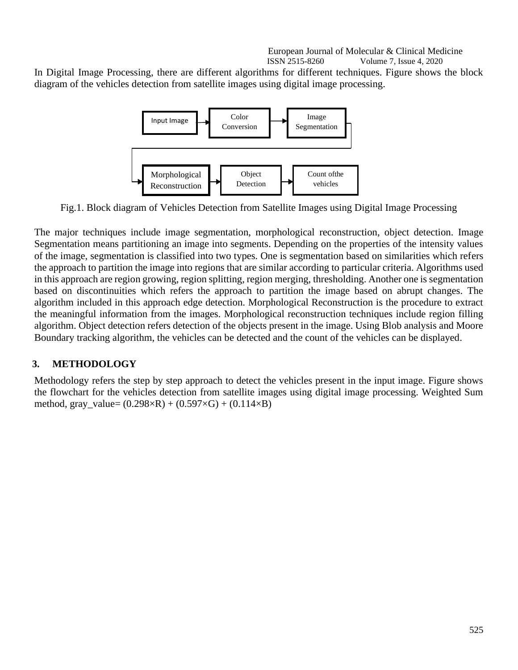European Journal of Molecular & Clinical Medicine ISSN 2515-8260 Volume 7, Issue 4, 2020

In Digital Image Processing, there are different algorithms for different techniques. Figure shows the block diagram of the vehicles detection from satellite images using digital image processing.



Fig.1. Block diagram of Vehicles Detection from Satellite Images using Digital Image Processing

The major techniques include image segmentation, morphological reconstruction, object detection. Image Segmentation means partitioning an image into segments. Depending on the properties of the intensity values of the image, segmentation is classified into two types. One is segmentation based on similarities which refers the approach to partition the image into regions that are similar according to particular criteria. Algorithms used in this approach are region growing, region splitting, region merging, thresholding. Another one is segmentation based on discontinuities which refers the approach to partition the image based on abrupt changes. The algorithm included in this approach edge detection. Morphological Reconstruction is the procedure to extract the meaningful information from the images. Morphological reconstruction techniques include region filling algorithm. Object detection refers detection of the objects present in the image. Using Blob analysis and Moore Boundary tracking algorithm, the vehicles can be detected and the count of the vehicles can be displayed.

# **3. METHODOLOGY**

Methodology refers the step by step approach to detect the vehicles present in the input image. Figure shows the flowchart for the vehicles detection from satellite images using digital image processing. Weighted Sum method, gray\_value=  $(0.298 \times R) + (0.597 \times G) + (0.114 \times B)$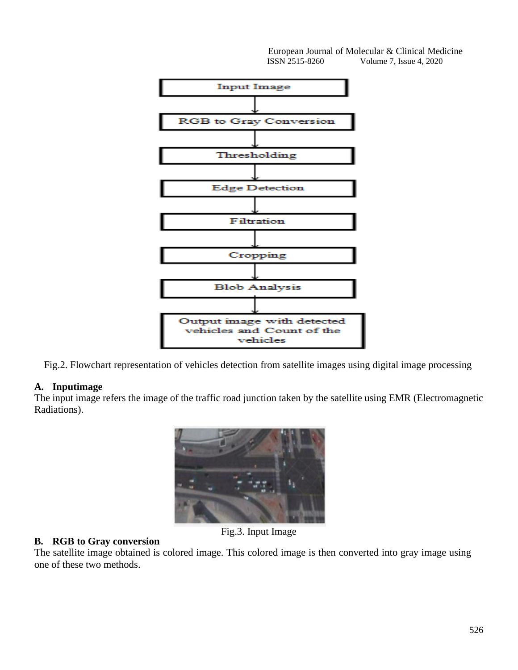

Fig.2. Flowchart representation of vehicles detection from satellite images using digital image processing

#### **A. Inputimage**

The input image refers the image of the traffic road junction taken by the satellite using EMR (Electromagnetic Radiations).



**B. RGB to Gray conversion**

The satellite image obtained is colored image. This colored image is then converted into gray image using one of these two methods.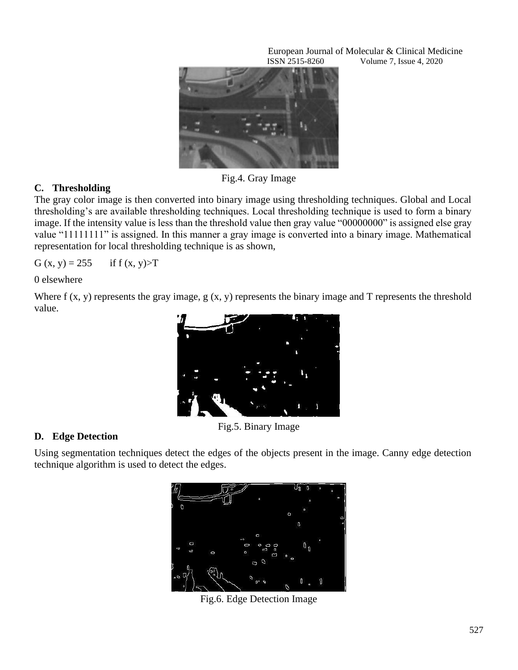

Fig.4. Gray Image

# **C. Thresholding**

The gray color image is then converted into binary image using thresholding techniques. Global and Local thresholding's are available thresholding techniques. Local thresholding technique is used to form a binary image. If the intensity value is less than the threshold value then gray value "00000000" is assigned else gray value "11111111" is assigned. In this manner a gray image is converted into a binary image. Mathematical representation for local thresholding technique is as shown,

G  $(x, y) = 255$  if f  $(x, y) > T$ 

0 elsewhere

Where f (x, y) represents the gray image, g (x, y) represents the binary image and T represents the threshold value.



Fig.5. Binary Image

# **D. Edge Detection**

Using segmentation techniques detect the edges of the objects present in the image. Canny edge detection technique algorithm is used to detect the edges.



Fig.6. Edge Detection Image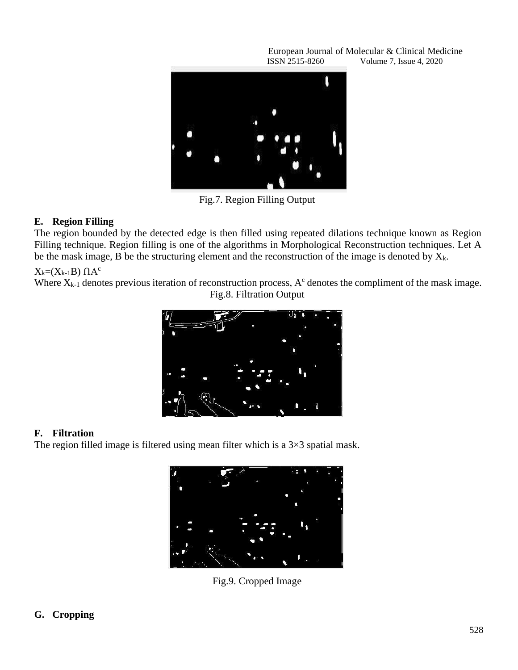

Fig.7. Region Filling Output

### **E. Region Filling**

The region bounded by the detected edge is then filled using repeated dilations technique known as Region Filling technique. Region filling is one of the algorithms in Morphological Reconstruction techniques. Let A be the mask image, B be the structuring element and the reconstruction of the image is denoted by  $X_k$ .

 $X_k=(X_{k-1}B)\ \Pi A^c$ 

Where  $X_{k-1}$  denotes previous iteration of reconstruction process,  $A<sup>c</sup>$  denotes the compliment of the mask image. Fig.8. Filtration Output



# **F. Filtration**

The region filled image is filtered using mean filter which is a  $3\times3$  spatial mask.



Fig.9. Cropped Image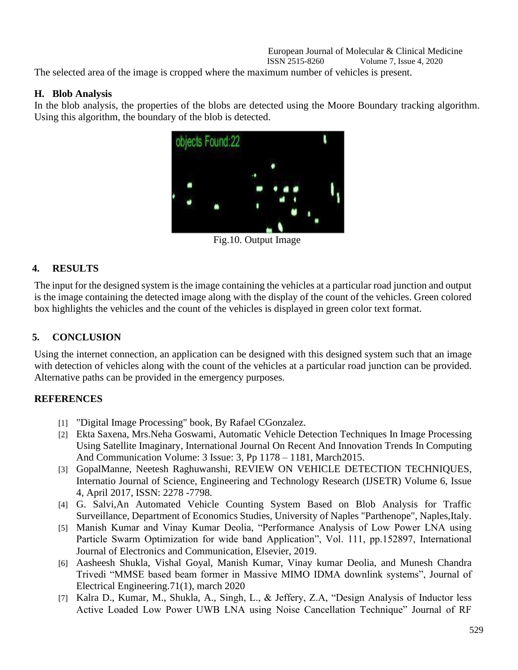#### European Journal of Molecular & Clinical Medicine ISSN 2515-8260 Volume 7, Issue 4, 2020

The selected area of the image is cropped where the maximum number of vehicles is present.

### **H. Blob Analysis**

In the blob analysis, the properties of the blobs are detected using the Moore Boundary tracking algorithm. Using this algorithm, the boundary of the blob is detected.



Fig.10. Output Image

# **4. RESULTS**

The input for the designed system is the image containing the vehicles at a particular road junction and output is the image containing the detected image along with the display of the count of the vehicles. Green colored box highlights the vehicles and the count of the vehicles is displayed in green color text format.

# **5. CONCLUSION**

Using the internet connection, an application can be designed with this designed system such that an image with detection of vehicles along with the count of the vehicles at a particular road junction can be provided. Alternative paths can be provided in the emergency purposes.

# **REFERENCES**

- [1] "Digital Image Processing" book, By Rafael CGonzalez.
- [2] Ekta Saxena, Mrs.Neha Goswami, Automatic Vehicle Detection Techniques In Image Processing Using Satellite Imaginary, International Journal On Recent And Innovation Trends In Computing And Communication Volume: 3 Issue: 3, Pp 1178 – 1181, March2015.
- [3] GopalManne, Neetesh Raghuwanshi, REVIEW ON VEHICLE DETECTION TECHNIQUES, Internatio Journal of Science, Engineering and Technology Research (IJSETR) Volume 6, Issue 4, April 2017, ISSN: 2278 -7798.
- [4] G. Salvi,An Automated Vehicle Counting System Based on Blob Analysis for Traffic Surveillance, Department of Economics Studies, University of Naples "Parthenope", Naples,Italy.
- [5] Manish Kumar and Vinay Kumar Deolia, "Performance Analysis of Low Power LNA using Particle Swarm Optimization for wide band Application", Vol. 111, pp.152897, International Journal of Electronics and Communication, Elsevier, 2019.
- [6] Aasheesh Shukla, Vishal Goyal, Manish Kumar, Vinay kumar Deolia, and Munesh Chandra Trivedi "MMSE based beam former in Massive MIMO IDMA downlink systems", Journal of Electrical Engineering.71(1), march 2020
- [7] Kalra D., Kumar, M., Shukla, A., Singh, L., & Jeffery, Z.A, "Design Analysis of Inductor less Active Loaded Low Power UWB LNA using Noise Cancellation Technique" Journal of RF